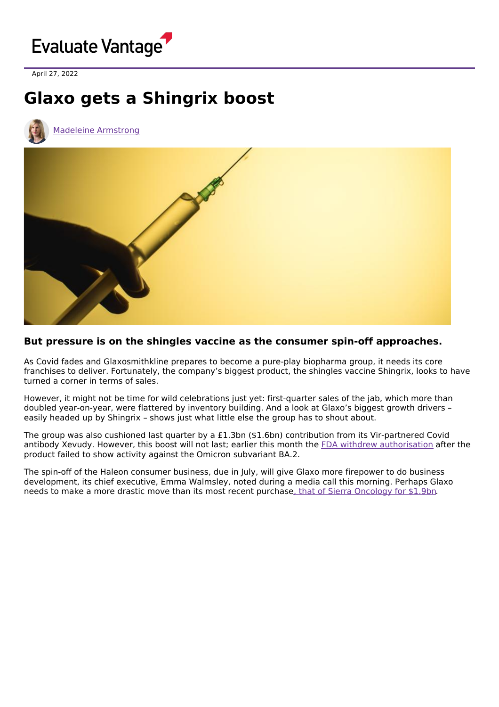

April 27, 2022

## **Glaxo gets a Shingrix boost**





## **But pressure is on the shingles vaccine as the consumer spin-off approaches.**

As Covid fades and Glaxosmithkline prepares to become a pure-play biopharma group, it needs its core franchises to deliver. Fortunately, the company's biggest product, the shingles vaccine Shingrix, looks to have turned a corner in terms of sales.

However, it might not be time for wild celebrations just yet: first-quarter sales of the jab, which more than doubled year-on-year, were flattered by inventory building. And a look at Glaxo's biggest growth drivers – easily headed up by Shingrix – shows just what little else the group has to shout about.

The group was also cushioned last quarter by a £1.3bn (\$1.6bn) contribution from its Vir-partnered Covid antibody Xevudy. However, this boost will not last; earlier this month the FDA withdrew [authorisation](https://www.fda.gov/drugs/drug-safety-and-availability/fda-updates-sotrovimab-emergency-use-authorization) after the product failed to show activity against the Omicron subvariant BA.2.

The spin-off of the Haleon consumer business, due in July, will give Glaxo more firepower to do business development, its chief executive, Emma Walmsley, noted during a media call this morning. Perhaps Glaxo needs to make a more drastic move than its most recent purchase, that of Sierra [Oncology](https://www.evaluate.com/vantage/articles/news/deals-snippets/glaxo-sierras-momelotinib-finds-its-fifth-owner) for \$1.9bn.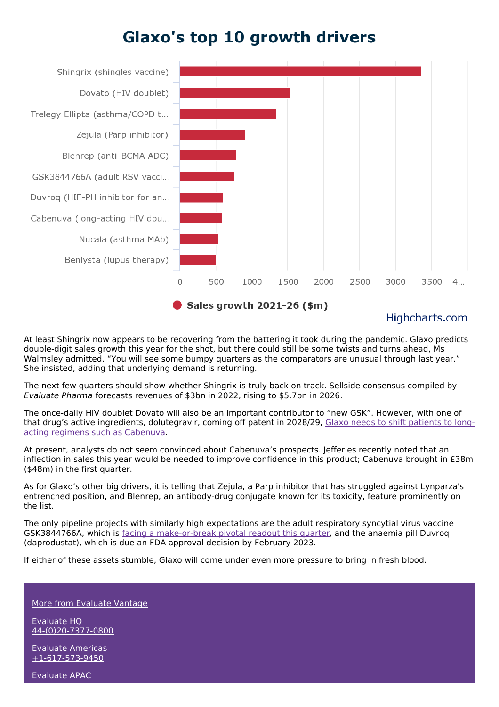## **Glaxo's top 10 growth drivers**



## Highcharts.com

At least Shingrix now appears to be recovering from the battering it took during the pandemic. Glaxo predicts double-digit sales growth this year for the shot, but there could still be some twists and turns ahead, Ms Walmsley admitted. "You will see some bumpy quarters as the comparators are unusual through last year." She insisted, adding that underlying demand is returning.

The next few quarters should show whether Shingrix is truly back on track. Sellside consensus compiled by Evaluate Pharma forecasts revenues of \$3bn in 2022, rising to \$5.7bn in 2026.

The once-daily HIV doublet Dovato will also be an important contributor to "new GSK". However, with one of that drug's active ingredients, [dolutegravir,](https://www.evaluate.com/vantage/articles/analysis/spotlight/glaxo-needs-long-acting-hiv-gamble-pay) coming off patent in 2028/29, Glaxo needs to shift patients to longacting regimens such as Cabenuva.

At present, analysts do not seem convinced about Cabenuva's prospects. Jefferies recently noted that an inflection in sales this year would be needed to improve confidence in this product; Cabenuva brought in £38m (\$48m) in the first quarter.

As for Glaxo's other big drivers, it is telling that Zejula, a Parp inhibitor that has struggled against Lynparza's entrenched position, and Blenrep, an antibody-drug conjugate known for its toxicity, feature prominently on the list.

The only pipeline projects with similarly high expectations are the adult respiratory syncytial virus vaccine GSK3844766A, which is facing a [make-or-break](https://www.evaluate.com/vantage/articles/events/company-events/glaxo-holds-its-breath) pivotal readout this quarter, and the anaemia pill Duvroq (daprodustat), which is due an FDA approval decision by February 2023.

If either of these assets stumble, Glaxo will come under even more pressure to bring in fresh blood.

More from [Evaluate](https://www.evaluate.com/vantage) Vantage

Evaluate HQ [44-\(0\)20-7377-0800](tel:+44(0)20-7377-0800)

Evaluate Americas [+1-617-573-9450](tel:+1-617-573-9450)

Evaluate APAC